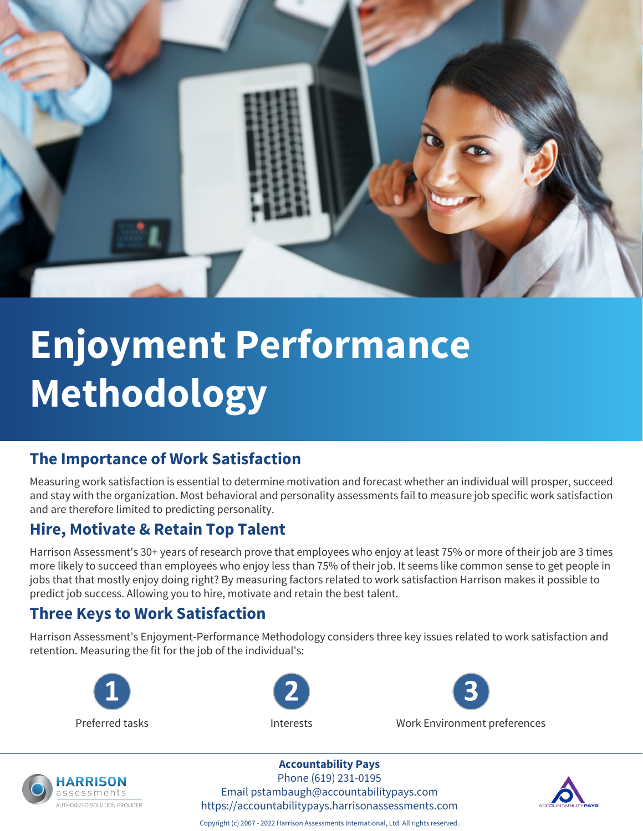

# **Enjoyment Performance Methodology**

### **The Importance of Work Satisfaction**

Measuring work satisfaction is essential to determine motivation and forecast whether an individual will prosper, succeed and stay with the organization. Most behavioral and personality assessments fail to measure job specific work satisfaction and are therefore limited to predicting personality.

### **Hire, Motivate & Retain Top Talent**

Harrison Assessment's 30+ years of research prove that employees who enjoy at least 75% or more of their job are 3 times more likely to succeed than employees who enjoy less than 75% of their job. It seems like common sense to get people in jobs that that mostly enjoy doing right? By measuring factors related to work satisfaction Harrison makes it possible to predict job success. Allowing you to hire, motivate and retain the best talent.

### **Three Keys to Work Satisfaction**

Harrison Assessment's Enjoyment-Performance Methodology considers three key issues related to work satisfaction and retention. Measuring the fit for the job of the individual's:





Preferred tasks Interests Work Environment preferences



**Accountability Pays** Phone (619) 231-0195

Email pstambaugh@accountabilitypays.com https://accountabilitypays.harrisonassessments.com



Copyright (c) 2007 - 2022 Harrison Assessments International, Ltd. All rights reserved.